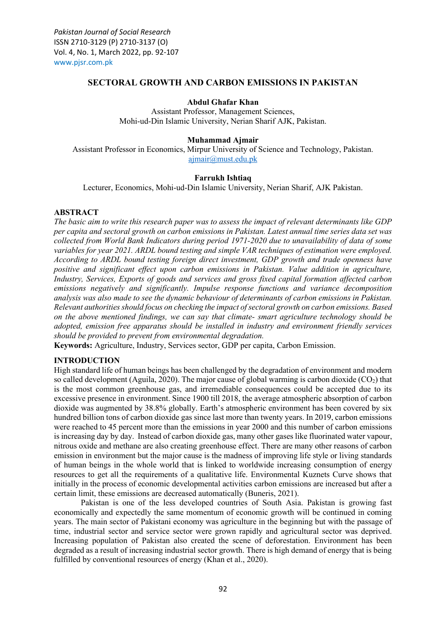*Pakistan Journal of Social Research*  ISSN 2710-3129 (P) 2710-3137 (O) Vol. 4, No. 1, March 2022, pp. 92-107 [www.pjsr.com.pk](http://www.pjsr.com.pk/)

## **SECTORAL GROWTH AND CARBON EMISSIONS IN PAKISTAN**

### **Abdul Ghafar Khan**

Assistant Professor, Management Sciences, Mohi-ud-Din Islamic University, Nerian Sharif AJK, Pakistan.

### **Muhammad Ajmair**

Assistant Professor in Economics, Mirpur University of Science and Technology, Pakistan. [ajmair@must.edu.pk](mailto:ajmair@must.edu.pk)

### **Farrukh Ishtiaq**

Lecturer, Economics, Mohi-ud-Din Islamic University, Nerian Sharif, AJK Pakistan.

# **ABSTRACT**

*The basic aim to write this research paper was to assess the impact of relevant determinants like GDP per capita and sectoral growth on carbon emissions in Pakistan. Latest annual time series data set was collected from World Bank Indicators during period 1971-2020 due to unavailability of data of some variables for year 2021. ARDL bound testing and simple VAR techniques of estimation were employed. According to ARDL bound testing foreign direct investment, GDP growth and trade openness have positive and significant effect upon carbon emissions in Pakistan. Value addition in agriculture, Industry, Services, Exports of goods and services and gross fixed capital formation affected carbon emissions negatively and significantly. Impulse response functions and variance decomposition analysis was also made to see the dynamic behaviour of determinants of carbon emissions in Pakistan. Relevant authorities should focus on checking the impact of sectoral growth on carbon emissions. Based on the above mentioned findings, we can say that climate- smart agriculture technology should be adopted, emission free apparatus should be installed in industry and environment friendly services should be provided to prevent from environmental degradation.* 

**Keywords:** Agriculture, Industry, Services sector, GDP per capita, Carbon Emission.

# **INTRODUCTION**

High standard life of human beings has been challenged by the degradation of environment and modern so called development (Aguila, 2020). The major cause of global warming is carbon dioxide  $(CO<sub>2</sub>)$  that is the most common greenhouse gas, and irremediable consequences could be accepted due to its excessive presence in environment. Since 1900 till 2018, the average atmospheric absorption of carbon dioxide was augmented by 38.8% globally. Earth's atmospheric environment has been covered by six hundred billion tons of carbon dioxide gas since last more than twenty years. In 2019, carbon emissions were reached to 45 percent more than the emissions in year 2000 and this number of carbon emissions is increasing day by day. Instead of carbon dioxide gas, many other gases like fluorinated water vapour, nitrous oxide and methane are also creating greenhouse effect. There are many other reasons of carbon emission in environment but the major cause is the madness of improving life style or living standards of human beings in the whole world that is linked to worldwide increasing consumption of energy resources to get all the requirements of a qualitative life. Environmental Kuznets Curve shows that initially in the process of economic developmental activities carbon emissions are increased but after a certain limit, these emissions are decreased automatically (Buneris, 2021).

Pakistan is one of the less developed countries of South Asia. Pakistan is growing fast economically and expectedly the same momentum of economic growth will be continued in coming years. The main sector of Pakistani economy was agriculture in the beginning but with the passage of time, industrial sector and service sector were grown rapidly and agricultural sector was deprived. Increasing population of Pakistan also created the scene of deforestation. Environment has been degraded as a result of increasing industrial sector growth. There is high demand of energy that is being fulfilled by conventional resources of energy (Khan et al., 2020).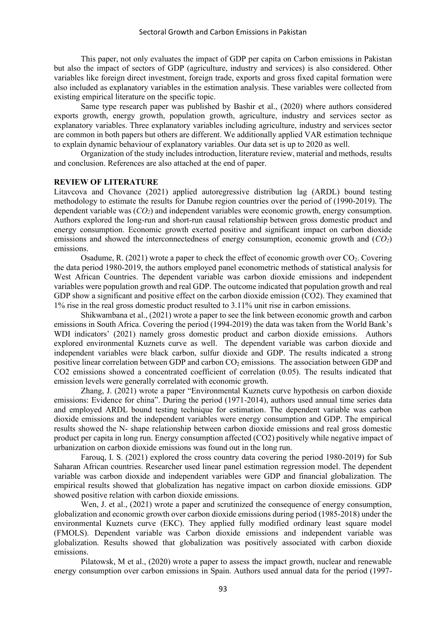This paper, not only evaluates the impact of GDP per capita on Carbon emissions in Pakistan but also the impact of sectors of GDP (agriculture, industry and services) is also considered. Other variables like foreign direct investment, foreign trade, exports and gross fixed capital formation were also included as explanatory variables in the estimation analysis. These variables were collected from existing empirical literature on the specific topic.

Same type research paper was published by Bashir et al., (2020) where authors considered exports growth, energy growth, population growth, agriculture, industry and services sector as explanatory variables. Three explanatory variables including agriculture, industry and services sector are common in both papers but others are different. We additionally applied VAR estimation technique to explain dynamic behaviour of explanatory variables. Our data set is up to 2020 as well.

Organization of the study includes introduction, literature review, material and methods, results and conclusion. References are also attached at the end of paper.

### **REVIEW OF LITERATURE**

Litavcova and Chovance (2021) applied autoregressive distribution lag (ARDL) bound testing methodology to estimate the results for Danube region countries over the period of (1990-2019). The dependent variable was (*CO2*) and independent variables were economic growth, energy consumption. Authors explored the long-run and short-run causal relationship between gross domestic product and energy consumption. Economic growth exerted positive and significant impact on carbon dioxide emissions and showed the interconnectedness of energy consumption, economic growth and (*CO2*) emissions.

Osadume, R. (2021) wrote a paper to check the effect of economic growth over  $CO<sub>2</sub>$ . Covering the data period 1980-2019, the authors employed panel econometric methods of statistical analysis for West African Countries. The dependent variable was carbon dioxide emissions and independent variables were population growth and real GDP. The outcome indicated that population growth and real GDP show a significant and positive effect on the carbon dioxide emission (CO2). They examined that 1% rise in the real gross domestic product resulted to 3.11% unit rise in carbon emissions.

Shikwambana et al., (2021) wrote a paper to see the link between economic growth and carbon emissions in South Africa. Covering the period (1994-2019) the data was taken from the World Bank's WDI indicators' (2021) namely gross domestic product and carbon dioxide emissions. Authors explored environmental Kuznets curve as well. The dependent variable was carbon dioxide and independent variables were black carbon, sulfur dioxide and GDP. The results indicated a strong positive linear correlation between GDP and carbon  $CO<sub>2</sub>$  emissions. The association between GDP and CO2 emissions showed a concentrated coefficient of correlation (0.05). The results indicated that emission levels were generally correlated with economic growth.

Zhang, J. (2021) wrote a paper "Environmental Kuznets curve hypothesis on carbon dioxide emissions: Evidence for china". During the period (1971-2014), authors used annual time series data and employed ARDL bound testing technique for estimation. The dependent variable was carbon dioxide emissions and the independent variables were energy consumption and GDP. The empirical results showed the N- shape relationship between carbon dioxide emissions and real gross domestic product per capita in long run. Energy consumption affected (CO2) positively while negative impact of urbanization on carbon dioxide emissions was found out in the long run.

Farouq, I. S. (2021) explored the cross country data covering the period 1980-2019) for Sub Saharan African countries. Researcher used linear panel estimation regression model. The dependent variable was carbon dioxide and independent variables were GDP and financial globalization. The empirical results showed that globalization has negative impact on carbon dioxide emissions. GDP showed positive relation with carbon dioxide emissions.

Wen, J. et al., (2021) wrote a paper and scrutinized the consequence of energy consumption, globalization and economic growth over carbon dioxide emissions during period (1985-2018) under the environmental Kuznets curve (EKC). They applied fully modified ordinary least square model (FMOLS). Dependent variable was Carbon dioxide emissions and independent variable was globalization. Results showed that globalization was positively associated with carbon dioxide emissions.

Pilatowsk, M et al., (2020) wrote a paper to assess the impact growth, nuclear and renewable energy consumption over carbon emissions in Spain. Authors used annual data for the period (1997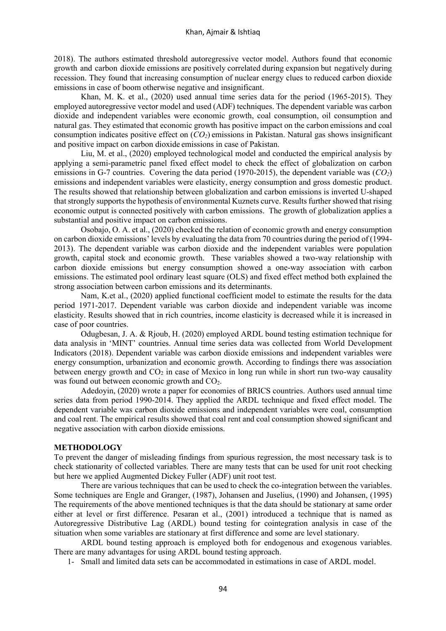2018). The authors estimated threshold autoregressive vector model. Authors found that economic growth and carbon dioxide emissions are positively correlated during expansion but negatively during recession. They found that increasing consumption of nuclear energy clues to reduced carbon dioxide emissions in case of boom otherwise negative and insignificant.

Khan, M. K. et al., (2020) used annual time series data for the period (1965-2015). They employed autoregressive vector model and used (ADF) techniques. The dependent variable was carbon dioxide and independent variables were economic growth, coal consumption, oil consumption and natural gas. They estimated that economic growth has positive impact on the carbon emissions and coal consumption indicates positive effect on (*CO2*) emissions in Pakistan. Natural gas shows insignificant and positive impact on carbon dioxide emissions in case of Pakistan.

Liu, M. et al., (2020) employed technological model and conducted the empirical analysis by applying a semi-parametric panel fixed effect model to check the effect of globalization on carbon emissions in G-7 countries. Covering the data period (1970-2015), the dependent variable was (*CO2*) emissions and independent variables were elasticity, energy consumption and gross domestic product. The results showed that relationship between globalization and carbon emissions is inverted U-shaped that strongly supports the hypothesis of environmental Kuznets curve. Results further showed that rising economic output is connected positively with carbon emissions. The growth of globalization applies a substantial and positive impact on carbon emissions.

Osobajo, O. A. et al., (2020) checked the relation of economic growth and energy consumption on carbon dioxide emissions' levels by evaluating the data from 70 countries during the period of (1994- 2013). The dependent variable was carbon dioxide and the independent variables were population growth, capital stock and economic growth. These variables showed a two-way relationship with carbon dioxide emissions but energy consumption showed a one-way association with carbon emissions. The estimated pool ordinary least square (OLS) and fixed effect method both explained the strong association between carbon emissions and its determinants.

Nam, K.et al., (2020) applied functional coefficient model to estimate the results for the data period 1971-2017. Dependent variable was carbon dioxide and independent variable was income elasticity. Results showed that in rich countries, income elasticity is decreased while it is increased in case of poor countries.

Odugbesan, J. A. & Rjoub, H. (2020) employed ARDL bound testing estimation technique for data analysis in 'MINT' countries. Annual time series data was collected from World Development Indicators (2018). Dependent variable was carbon dioxide emissions and independent variables were energy consumption, urbanization and economic growth. According to findings there was association between energy growth and  $CO<sub>2</sub>$  in case of Mexico in long run while in short run two-way causality was found out between economic growth and CO<sub>2</sub>.

Adedoyin, (2020) wrote a paper for economies of BRICS countries. Authors used annual time series data from period 1990-2014. They applied the ARDL technique and fixed effect model. The dependent variable was carbon dioxide emissions and independent variables were coal, consumption and coal rent. The empirical results showed that coal rent and coal consumption showed significant and negative association with carbon dioxide emissions.

### **METHODOLOGY**

To prevent the danger of misleading findings from spurious regression, the most necessary task is to check stationarity of collected variables. There are many tests that can be used for unit root checking but here we applied Augmented Dickey Fuller (ADF) unit root test.

There are various techniques that can be used to check the co-integration between the variables. Some techniques are Engle and Granger, (1987), Johansen and Juselius, (1990) and Johansen, (1995) The requirements of the above mentioned techniques is that the data should be stationary at same order either at level or first difference. Pesaran et al., (2001) introduced a technique that is named as Autoregressive Distributive Lag (ARDL) bound testing for cointegration analysis in case of the situation when some variables are stationary at first difference and some are level stationary.

ARDL bound testing approach is employed both for endogenous and exogenous variables. There are many advantages for using ARDL bound testing approach.

1- Small and limited data sets can be accommodated in estimations in case of ARDL model.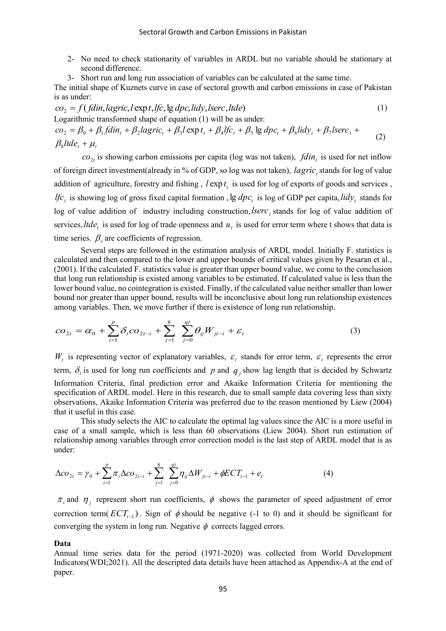- 2- No need to check stationarity of variables in ARDL but no variable should be stationary at second difference.
- 3- Short run and long run association of variables can be calculated at the same time.

The initial shape of Kuznets curve in case of sectoral growth and carbon emissions in case of Pakistan is as under:

$$
co_2 = f(fdin, lagric, l \exp t, lfc, \lg dpc, lidy, lserc, ltde)
$$
\n
$$
Logarithmic transformed shape of equation (1) will be as under:\n
$$
co_2 = \beta_0 + \beta_1 f din_t + \beta_2 lagric_t + \beta_3 l \exp t_t + \beta_4 lfc_t + \beta_5 \lg dpc_t + \beta_6 lidy_t + \beta_7 lserc_t + \beta_8 ltde_t + \mu_t
$$
\n
$$
(2)
$$
$$

 $co_{2t}$  is showing carbon emissions per capita (log was not taken),  $fdin_t$  is used for net inflow of foreign direct investment(already in % of GDP, so log was not taken), *lagric*, stands for log of value addition of agriculture, forestry and fishing,  $l \exp t_i$  is used for log of exports of goods and services, If  $c_t$  is showing log of gross fixed capital formation , lg  $dpc_t$  is log of GDP per capita, lidy<sub>t</sub> stands for log of value addition of industry including construction, lserc<sub>t</sub> stands for log of value addition of services, *ltde*, is used for log of trade openness and  $u_t$  is used for error term where t shows that data is time series.  $\beta_s$  are coefficients of regression.

Several steps are followed in the estimation analysis of ARDL model. Initially F. statistics is calculated and then compared to the lower and upper bounds of critical values given by Pesaran et al., (2001). If the calculated F. statistics value is greater than upper bound value, we come to the conclusion that long run relationship is existed among variables to be estimated. If calculated value is less than the lower bound value, no cointegration is existed. Finally, if the calculated value neither smaller than lower bound nor greater than upper bound, results will be inconclusive about long run relationship existences among variables. Then, we move further if there is existence of long run relationship.

$$
co_{2t} = \alpha_0 + \sum_{i=1}^{p} \delta_i co_{2t-i} + \sum_{j=1}^{8} \sum_{j=0}^{qj} \theta_{ij} W_{jt-i} + \varepsilon_t
$$
 (3)

 $W_t$  is representing vector of explanatory variables,  $\varepsilon_t$  stands for error term,  $\varepsilon_t$  represents the error term,  $\delta_i$  is used for long run coefficients and p and  $q_j$  show lag length that is decided by Schwartz Information Criteria, final prediction error and Akaike Information Criteria for mentioning the specification of ARDL model. Here in this research, due to small sample data covering less than sixty observations, Akaike Information Criteria was preferred due to the reason mentioned by Liew (2004) that it useful in this case.

This study selects the AIC to calculate the optimal lag values since the AIC is a more useful in case of a small sample, which is less than 60 observations (Liew 2004). Short run estimation of relationship among variables through error correction model is the last step of ARDL model that is as under:

$$
\Delta co_{2t} = \gamma_0 + \sum_{i=1}^p \pi_i \Delta co_{2t-i} + \sum_{j=1}^8 \sum_{j=0}^{qj} \eta_{ij} \Delta W_{jt-i} + \phi ECT_{t-1} + e_t
$$
\n(4)

 $\pi$ <sub>i</sub> and  $\eta$ <sub>j</sub> represent short run coefficients,  $\phi$  shows the parameter of speed adjustment of error correction term( $ECT_{t-1}$ ). Sign of  $\phi$  should be negative (-1 to 0) and it should be significant for converging the system in long run. Negative  $\phi$  corrects lagged errors.

#### **Data**

Annual time series data for the period (1971-2020) was collected from World Development Indicators(WDI;2021). All the descripted data details have been attached as Appendix-A at the end of paper.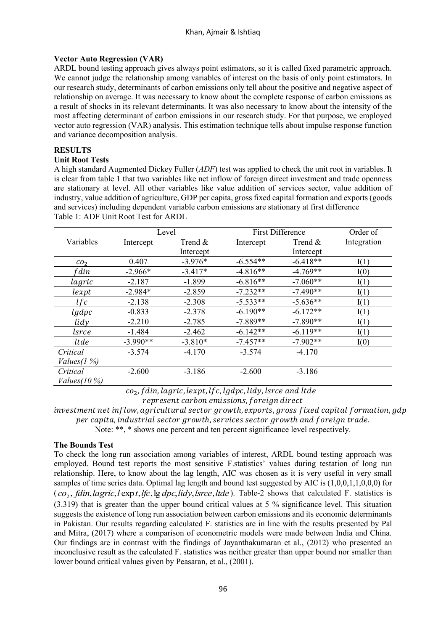# Khan, Ajmair & Ishtiaq

# **Vector Auto Regression (VAR)**

ARDL bound testing approach gives always point estimators, so it is called fixed parametric approach. We cannot judge the relationship among variables of interest on the basis of only point estimators. In our research study, determinants of carbon emissions only tell about the positive and negative aspect of relationship on average. It was necessary to know about the complete response of carbon emissions as a result of shocks in its relevant determinants. It was also necessary to know about the intensity of the most affecting determinant of carbon emissions in our research study. For that purpose, we employed vector auto regression (VAR) analysis. This estimation technique tells about impulse response function and variance decomposition analysis.

# **RESULTS**

# **Unit Root Tests**

A high standard Augmented Dickey Fuller (*ADF*) test was applied to check the unit root in variables. It is clear from table 1 that two variables like net inflow of foreign direct investment and trade openness are stationary at level. All other variables like value addition of services sector, value addition of industry, value addition of agriculture, GDP per capita, gross fixed capital formation and exports (goods and services) including dependent variable carbon emissions are stationary at first difference Table 1: ADF Unit Root Test for ARDL

|                 |            | Level     |            | <b>First Difference</b> | Order of    |
|-----------------|------------|-----------|------------|-------------------------|-------------|
| Variables       | Intercept  | Trend &   | Intercept  | Trend $\&$              | Integration |
|                 |            | Intercept |            | Intercept               |             |
| CO <sub>2</sub> | 0.407      | $-3.976*$ | $-6.554**$ | $-6.418**$              | I(1)        |
| f din           | $-2.966*$  | $-3.417*$ | $-4.816**$ | $-4.769**$              | I(0)        |
| lagric          | $-2.187$   | $-1.899$  | $-6.816**$ | $-7.060**$              | I(1)        |
| lexpt           | $-2.984*$  | $-2.859$  | $-7.232**$ | $-7.490**$              | I(1)        |
| lfc             | $-2.138$   | $-2.308$  | $-5.533**$ | $-5.636**$              | I(1)        |
| $lg$ dpc        | $-0.833$   | $-2.378$  | $-6.190**$ | $-6.172**$              | I(1)        |
| lidy            | $-2.210$   | $-2.785$  | $-7.889**$ | $-7.890**$              | I(1)        |
| lsrce           | $-1.484$   | $-2.462$  | $-6.142**$ | $-6.119**$              | I(1)        |
| ltde            | $-3.990**$ | $-3.810*$ | $-7.457**$ | $-7.902**$              | I(0)        |
| Critical        | $-3.574$   | $-4.170$  | $-3.574$   | $-4.170$                |             |
| Values $(1\%)$  |            |           |            |                         |             |
| Critical        | $-2.600$   | $-3.186$  | $-2.600$   | $-3.186$                |             |
| Values $(10\%)$ |            |           |            |                         |             |

 $co<sub>2</sub>$ , f din, lagric, lexpt, lfc, lgdpc, lidy, lsrce and ltde

represent carbon emissions, foreign direct

investment net inflow, agricultural sector growth, exports, gross fixed capital formation, gdp per capita, industrial sector growth, services sector growth and foreign trade.

Note: \*\*, \* shows one percent and ten percent significance level respectively.

# **The Bounds Test**

To check the long run association among variables of interest, ARDL bound testing approach was employed. Bound test reports the most sensitive F.statistics' values during testation of long run relationship. Here, to know about the lag length, AIC was chosen as it is very useful in very small samples of time series data. Optimal lag length and bound test suggested by AIC is (1,0,0,1,1,0,0,0) for  $(co<sub>2</sub>, fdin, lagric, l exp t, lfc, lg *dpc*, lidy, lsrce, ltde). Table-2 shows that calculated F. statistics is$ (3.319) that is greater than the upper bound critical values at 5 % significance level. This situation suggests the existence of long run association between carbon emissions and its economic determinants in Pakistan. Our results regarding calculated F. statistics are in line with the results presented by Pal and Mitra, (2017) where a comparison of econometric models were made between India and China. Our findings are in contrast with the findings of Jayanthakumaran et al., (2012) who presented an inconclusive result as the calculated F. statistics was neither greater than upper bound nor smaller than lower bound critical values given by Peasaran, et al., (2001).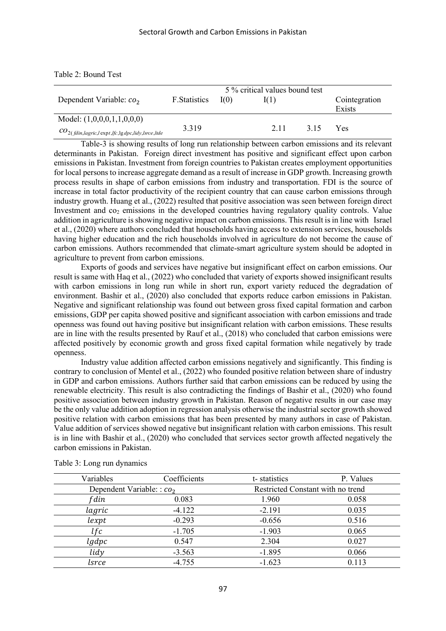|                                                                   |               |      | 5 % critical values bound test |      |               |
|-------------------------------------------------------------------|---------------|------|--------------------------------|------|---------------|
| Dependent Variable: $co2$                                         | F. Statistics | I(0) | I(1)                           |      | Cointegration |
|                                                                   |               |      |                                |      | Exists        |
| Model: $(1,0,0,0,1,1,0,0,0)$                                      |               |      |                                |      |               |
| $co_{2(fdim, lagric, l \exp t, lfc, \lg dpc, lidy, lsrce, ltde)}$ | 3.319         |      | 2.11                           | 3.15 | Yes           |

Table-3 is showing results of long run relationship between carbon emissions and its relevant determinants in Pakistan. Foreign direct investment has positive and significant effect upon carbon emissions in Pakistan. Investment from foreign countries to Pakistan creates employment opportunities for local persons to increase aggregate demand as a result of increase in GDP growth. Increasing growth process results in shape of carbon emissions from industry and transportation. FDI is the source of increase in total factor productivity of the recipient country that can cause carbon emissions through industry growth. Huang et al., (2022) resulted that positive association was seen between foreign direct Investment and  $\cos$  emissions in the developed countries having regulatory quality controls. Value addition in agriculture is showing negative impact on carbon emissions. This result is in line with Israel et al., (2020) where authors concluded that households having access to extension services, households having higher education and the rich households involved in agriculture do not become the cause of carbon emissions. Authors recommended that climate-smart agriculture system should be adopted in agriculture to prevent from carbon emissions.

Exports of goods and services have negative but insignificant effect on carbon emissions. Our result is same with Haq et al., (2022) who concluded that variety of exports showed insignificant results with carbon emissions in long run while in short run, export variety reduced the degradation of environment. Bashir et al., (2020) also concluded that exports reduce carbon emissions in Pakistan. Negative and significant relationship was found out between gross fixed capital formation and carbon emissions, GDP per capita showed positive and significant association with carbon emissions and trade openness was found out having positive but insignificant relation with carbon emissions. These results are in line with the results presented by Rauf et al., (2018) who concluded that carbon emissions were affected positively by economic growth and gross fixed capital formation while negatively by trade openness.

Industry value addition affected carbon emissions negatively and significantly. This finding is contrary to conclusion of Mentel et al., (2022) who founded positive relation between share of industry in GDP and carbon emissions. Authors further said that carbon emissions can be reduced by using the renewable electricity. This result is also contradicting the findings of Bashir et al., (2020) who found positive association between industry growth in Pakistan. Reason of negative results in our case may be the only value addition adoption in regression analysis otherwise the industrial sector growth showed positive relation with carbon emissions that has been presented by many authors in case of Pakistan. Value addition of services showed negative but insignificant relation with carbon emissions. This result is in line with Bashir et al., (2020) who concluded that services sector growth affected negatively the carbon emissions in Pakistan.

| Variables                   | Coefficients | t-statistics                      | P. Values |
|-----------------------------|--------------|-----------------------------------|-----------|
| Dependent Variable: : $co2$ |              | Restricted Constant with no trend |           |
| f din                       | 0.083        | 1.960                             | 0.058     |
| lagric                      | $-4.122$     | $-2.191$                          | 0.035     |
| lexpt                       | $-0.293$     | $-0.656$                          | 0.516     |
| lfc                         | $-1.705$     | $-1.903$                          | 0.065     |
| $lg$ dpc                    | 0.547        | 2.304                             | 0.027     |
| lidy                        | $-3.563$     | $-1.895$                          | 0.066     |
| lsrce                       | $-4.755$     | $-1.623$                          | 0.113     |
|                             |              |                                   |           |

Table 3: Long run dynamics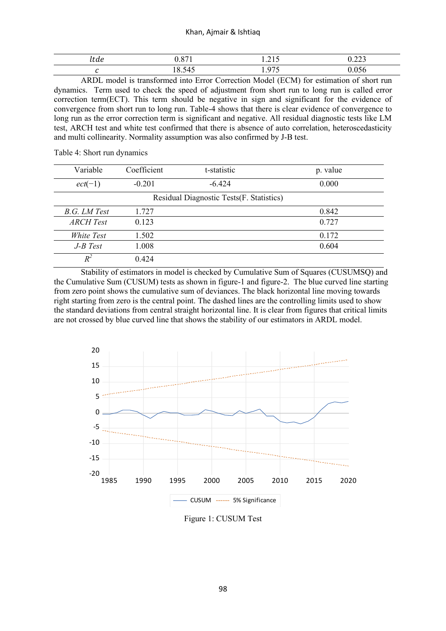### Khan, Ajmair & Ishtiaq

| icuc | $\sim$ $\sim$ | the contract of the con-<br>.<br>--- | $- - -$ |
|------|---------------|--------------------------------------|---------|
|      |               | - -                                  |         |

ARDL model is transformed into Error Correction Model (ECM) for estimation of short run dynamics. Term used to check the speed of adjustment from short run to long run is called error correction term(ECT). This term should be negative in sign and significant for the evidence of convergence from short run to long run. Table-4 shows that there is clear evidence of convergence to long run as the error correction term is significant and negative. All residual diagnostic tests like LM test, ARCH test and white test confirmed that there is absence of auto correlation, heteroscedasticity and multi collinearity. Normality assumption was also confirmed by J-B test.

| Variable         | Coefficient | t-statistic                               | p. value |
|------------------|-------------|-------------------------------------------|----------|
| $ect(-1)$        | $-0.201$    | $-6.424$                                  | 0.000    |
|                  |             | Residual Diagnostic Tests (F. Statistics) |          |
| B.G. LM Test     | 1.727       |                                           | 0.842    |
| <b>ARCH</b> Test | 0.123       |                                           | 0.727    |
| White Test       | 1.502       |                                           | 0.172    |
| $J-B$ Test       | 1.008       |                                           | 0.604    |
| $R^2$            | 0.424       |                                           |          |

Table 4: Short run dynamics

 Stability of estimators in model is checked by Cumulative Sum of Squares (CUSUMSQ) and the Cumulative Sum (CUSUM) tests as shown in figure-1 and figure-2. The blue curved line starting from zero point shows the cumulative sum of deviances. The black horizontal line moving towards right starting from zero is the central point. The dashed lines are the controlling limits used to show the standard deviations from central straight horizontal line. It is clear from figures that critical limits are not crossed by blue curved line that shows the stability of our estimators in ARDL model.



Figure 1: CUSUM Test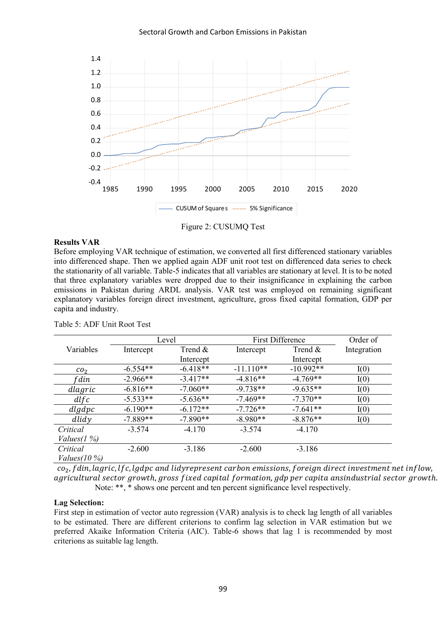

Figure 2: CUSUMQ Test

### **Results VAR**

Before employing VAR technique of estimation, we converted all first differenced stationary variables into differenced shape. Then we applied again ADF unit root test on differenced data series to check the stationarity of all variable. Table-5 indicates that all variables are stationary at level. It is to be noted that three explanatory variables were dropped due to their insignificance in explaining the carbon emissions in Pakistan during ARDL analysis. VAR test was employed on remaining significant explanatory variables foreign direct investment, agriculture, gross fixed capital formation, GDP per capita and industry.

|                 | Level      |            |             | <b>First Difference</b> |             |  |
|-----------------|------------|------------|-------------|-------------------------|-------------|--|
| Variables       | Intercept  | Trend $&$  | Intercept   | Trend $\&$              | Integration |  |
|                 |            | Intercept  |             | Intercept               |             |  |
| CO <sub>2</sub> | $-6.554**$ | $-6.418**$ | $-11.110**$ | $-10.992**$             | I(0)        |  |
| f din           | $-2.966**$ | $-3.417**$ | $-4.816**$  | $-4.769**$              | I(0)        |  |
| dlagric         | $-6.816**$ | $-7.060**$ | $-9.738**$  | $-9.635**$              | I(0)        |  |
| dlfc            | $-5.533**$ | $-5.636**$ | $-7.469**$  | $-7.370**$              | I(0)        |  |
| dlgdpc          | $-6.190**$ | $-6.172**$ | $-7.726**$  | $-7.641**$              | I(0)        |  |
| $d$ lidy        | $-7.889**$ | $-7.890**$ | $-8.980**$  | $-8.876**$              | I(0)        |  |
| Critical        | $-3.574$   | $-4.170$   | $-3.574$    | $-4.170$                |             |  |
| Values $(1\%)$  |            |            |             |                         |             |  |
| Critical        | $-2.600$   | $-3.186$   | $-2.600$    | $-3.186$                |             |  |
| Values $(10\%)$ |            |            |             |                         |             |  |

Table 5: ADF Unit Root Test

 $co<sub>2</sub>$ , fdin, lagric, lfc, lgdpc and lidyrepresent carbon emissions, foreign direct investment net inflow, agricultural sector growth, gross fixed capital formation, gdp per capita ansindustrial sector growth. Note: \*\*, \* shows one percent and ten percent significance level respectively.

### **Lag Selection:**

First step in estimation of vector auto regression (VAR) analysis is to check lag length of all variables to be estimated. There are different criterions to confirm lag selection in VAR estimation but we preferred Akaike Information Criteria (AIC). Table-6 shows that lag 1 is recommended by most criterions as suitable lag length.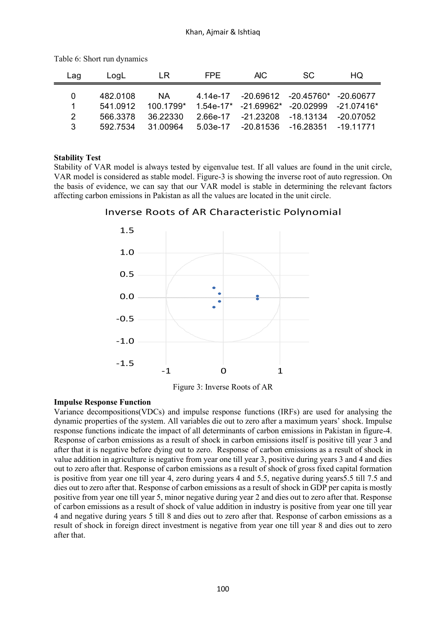| Lag      | LoaL     | LR        | FPE.     | AIC.                                               | SC.                           | HQ.       |
|----------|----------|-----------|----------|----------------------------------------------------|-------------------------------|-----------|
| $\Omega$ | 482.0108 | NA.       |          | 4.14e-17 -20.69612 -20.45760* -20.60677            |                               |           |
| 1        | 541 0912 | 100.1799* |          | $1.54e-17$ $-21.69962$ $-20.02999$ $-21.07416$ $*$ |                               |           |
| 2        | 566.3378 | 36 22330  |          | 2.66e-17 -21.23208 -18.13134                       |                               | -20.07052 |
| 3        | 592 7534 | 31 00964  | 5.03e-17 |                                                    | -20.81536 -16.28351 -19.11771 |           |

Table 6: Short run dynamics

# **Stability Test**

Stability of VAR model is always tested by eigenvalue test. If all values are found in the unit circle, VAR model is considered as stable model. Figure-3 is showing the inverse root of auto regression. On the basis of evidence, we can say that our VAR model is stable in determining the relevant factors affecting carbon emissions in Pakistan as all the values are located in the unit circle.

Inverse Roots of AR Characteristic Polynomial



Figure 3: Inverse Roots of AR

# **Impulse Response Function**

Variance decompositions(VDCs) and impulse response functions (IRFs) are used for analysing the dynamic properties of the system. All variables die out to zero after a maximum years' shock. Impulse response functions indicate the impact of all determinants of carbon emissions in Pakistan in figure-4. Response of carbon emissions as a result of shock in carbon emissions itself is positive till year 3 and after that it is negative before dying out to zero. Response of carbon emissions as a result of shock in value addition in agriculture is negative from year one till year 3, positive during years 3 and 4 and dies out to zero after that. Response of carbon emissions as a result of shock of gross fixed capital formation is positive from year one till year 4, zero during years 4 and 5.5, negative during years5.5 till 7.5 and dies out to zero after that. Response of carbon emissions as a result of shock in GDP per capita is mostly positive from year one till year 5, minor negative during year 2 and dies out to zero after that. Response of carbon emissions as a result of shock of value addition in industry is positive from year one till year 4 and negative during years 5 till 8 and dies out to zero after that. Response of carbon emissions as a result of shock in foreign direct investment is negative from year one till year 8 and dies out to zero after that.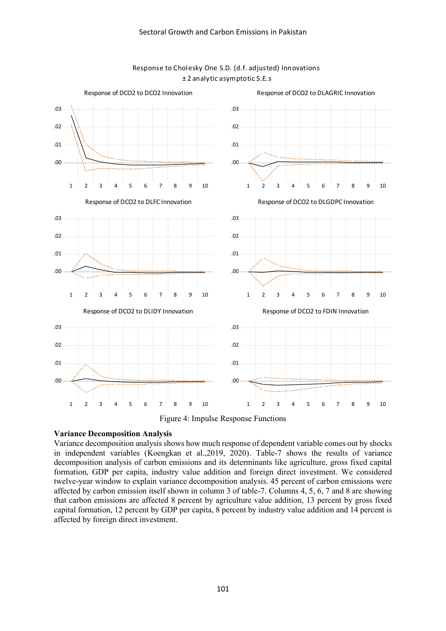

### Response to Cholesky One S.D. (d.f. adjusted) Innovations <sup>±</sup> 2 analytic asymptotic S.E.s

Figure 4: Impulse Response Functions

# **Variance Decomposition Analysis**

Variance decomposition analysis shows how much response of dependent variable comes out by shocks in independent variables (Koengkan et al.,2019, 2020). Table-7 shows the results of variance decomposition analysis of carbon emissions and its determinants like agriculture, gross fixed capital formation, GDP per capita, industry value addition and foreign direct investment. We considered twelve-year window to explain variance decomposition analysis. 45 percent of carbon emissions were affected by carbon emission itself shown in column 3 of table-7. Columns 4, 5, 6, 7 and 8 are showing that carbon emissions are affected 8 percent by agriculture value addition, 13 percent by gross fixed capital formation, 12 percent by GDP per capita, 8 percent by industry value addition and 14 percent is affected by foreign direct investment.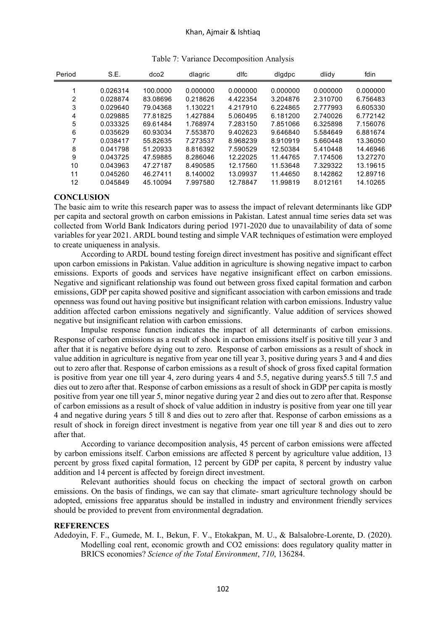| Period | S.E.     | dco2     | dlagric  | dlfc     | digdpc   | dlidy    | fdin     |
|--------|----------|----------|----------|----------|----------|----------|----------|
| 1      | 0.026314 | 100.0000 | 0.000000 | 0.000000 | 0.000000 | 0.000000 | 0.000000 |
| 2      | 0.028874 | 83.08696 | 0.218626 | 4.422354 | 3.204876 | 2.310700 | 6.756483 |
| 3      | 0.029640 | 79.04368 | 1.130221 | 4.217910 | 6.224865 | 2.777993 | 6.605330 |
| 4      | 0.029885 | 77.81825 | 1.427884 | 5.060495 | 6.181200 | 2.740026 | 6.772142 |
| 5      | 0.033325 | 69.61484 | 1.768974 | 7.283150 | 7.851066 | 6.325898 | 7.156076 |
| 6      | 0.035629 | 60.93034 | 7.553870 | 9.402623 | 9.646840 | 5.584649 | 6.881674 |
| 7      | 0.038417 | 55.82635 | 7.273537 | 8.968239 | 8.910919 | 5.660448 | 13.36050 |
| 8      | 0.041798 | 51.20933 | 8.816392 | 7.590529 | 12.50384 | 5.410448 | 14.46946 |
| 9      | 0.043725 | 47.59885 | 8.286046 | 12.22025 | 11.44765 | 7.174506 | 13.27270 |
| 10     | 0.043963 | 47.27187 | 8.490585 | 12.17560 | 11.53648 | 7.329322 | 13.19615 |
| 11     | 0.045260 | 46.27411 | 8.140002 | 13.09937 | 11.44650 | 8.142862 | 12.89716 |
| 12     | 0.045849 | 45.10094 | 7.997580 | 12.78847 | 11.99819 | 8.012161 | 14.10265 |

| Table 7: Variance Decomposition Analysis |  |  |
|------------------------------------------|--|--|
|                                          |  |  |

### **CONCLUSION**

The basic aim to write this research paper was to assess the impact of relevant determinants like GDP per capita and sectoral growth on carbon emissions in Pakistan. Latest annual time series data set was collected from World Bank Indicators during period 1971-2020 due to unavailability of data of some variables for year 2021. ARDL bound testing and simple VAR techniques of estimation were employed to create uniqueness in analysis.

According to ARDL bound testing foreign direct investment has positive and significant effect upon carbon emissions in Pakistan. Value addition in agriculture is showing negative impact to carbon emissions. Exports of goods and services have negative insignificant effect on carbon emissions. Negative and significant relationship was found out between gross fixed capital formation and carbon emissions, GDP per capita showed positive and significant association with carbon emissions and trade openness was found out having positive but insignificant relation with carbon emissions. Industry value addition affected carbon emissions negatively and significantly. Value addition of services showed negative but insignificant relation with carbon emissions.

Impulse response function indicates the impact of all determinants of carbon emissions. Response of carbon emissions as a result of shock in carbon emissions itself is positive till year 3 and after that it is negative before dying out to zero. Response of carbon emissions as a result of shock in value addition in agriculture is negative from year one till year 3, positive during years 3 and 4 and dies out to zero after that. Response of carbon emissions as a result of shock of gross fixed capital formation is positive from year one till year 4, zero during years 4 and 5.5, negative during years5.5 till 7.5 and dies out to zero after that. Response of carbon emissions as a result of shock in GDP per capita is mostly positive from year one till year 5, minor negative during year 2 and dies out to zero after that. Response of carbon emissions as a result of shock of value addition in industry is positive from year one till year 4 and negative during years 5 till 8 and dies out to zero after that. Response of carbon emissions as a result of shock in foreign direct investment is negative from year one till year 8 and dies out to zero after that.

According to variance decomposition analysis, 45 percent of carbon emissions were affected by carbon emissions itself. Carbon emissions are affected 8 percent by agriculture value addition, 13 percent by gross fixed capital formation, 12 percent by GDP per capita, 8 percent by industry value addition and 14 percent is affected by foreign direct investment.

Relevant authorities should focus on checking the impact of sectoral growth on carbon emissions. On the basis of findings, we can say that climate- smart agriculture technology should be adopted, emissions free apparatus should be installed in industry and environment friendly services should be provided to prevent from environmental degradation.

### **REFERENCES**

Adedoyin, F. F., Gumede, M. I., Bekun, F. V., Etokakpan, M. U., & Balsalobre-Lorente, D. (2020). Modelling coal rent, economic growth and CO2 emissions: does regulatory quality matter in BRICS economies? *Science of the Total Environment*, *710*, 136284.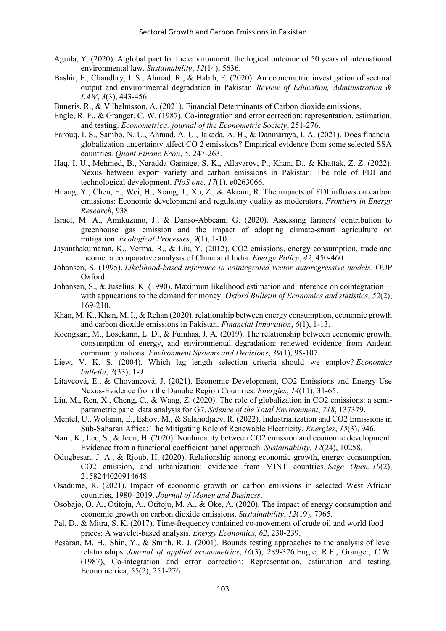- Aguila, Y. (2020). A global pact for the environment: the logical outcome of 50 years of international environmental law. *Sustainability*, *12*(14), 5636.
- Bashir, F., Chaudhry, I. S., Ahmad, R., & Habib, F. (2020). An econometric investigation of sectoral output and environmental degradation in Pakistan. *Review of Education, Administration & LAW*, *3*(3), 443-456.
- Buneris, R., & Vilhelmsson, A. (2021). Financial Determinants of Carbon dioxide emissions.
- Engle, R. F., & Granger, C. W. (1987). Co-integration and error correction: representation, estimation, and testing. *Econometrica: journal of the Econometric Society*, 251-276.
- Farouq, I. S., Sambo, N. U., Ahmad, A. U., Jakada, A. H., & Danmaraya, I. A. (2021). Does financial globalization uncertainty affect CO 2 emissions? Empirical evidence from some selected SSA countries. *Quant Financ Econ*, *5*, 247-263.
- Haq, I. U., Mehmed, B., Naradda Gamage, S. K., Allayarov, P., Khan, D., & Khattak, Z. Z. (2022). Nexus between export variety and carbon emissions in Pakistan: The role of FDI and technological development. *PloS one*, *17*(1), e0263066.
- Huang, Y., Chen, F., Wei, H., Xiang, J., Xu, Z., & Akram, R. The impacts of FDI inflows on carbon emissions: Economic development and regulatory quality as moderators. *Frontiers in Energy Research*, 938.
- Israel, M. A., Amikuzuno, J., & Danso-Abbeam, G. (2020). Assessing farmers' contribution to greenhouse gas emission and the impact of adopting climate-smart agriculture on mitigation. *Ecological Processes*, *9*(1), 1-10.
- Jayanthakumaran, K., Verma, R., & Liu, Y. (2012). CO2 emissions, energy consumption, trade and income: a comparative analysis of China and India. *Energy Policy*, *42*, 450-460.
- Johansen, S. (1995). *Likelihood-based inference in cointegrated vector autoregressive models*. OUP Oxford.
- Johansen, S., & Juselius, K. (1990). Maximum likelihood estimation and inference on cointegration with appucations to the demand for money. *Oxford Bulletin of Economics and statistics*, *52*(2), 169-210.
- Khan, M. K., Khan, M. I., & Rehan (2020). relationship between energy consumption, economic growth and carbon dioxide emissions in Pakistan. *Financial Innovation*, *6*(1), 1-13.
- Koengkan, M., Losekann, L. D., & Fuinhas, J. A. (2019). The relationship between economic growth, consumption of energy, and environmental degradation: renewed evidence from Andean community nations. *Environment Systems and Decisions*, *39*(1), 95-107.
- Liew, V. K. S. (2004). Which lag length selection criteria should we employ? *Economics bulletin*, *3*(33), 1-9.
- Litavcová, E., & Chovancová, J. (2021). Economic Development, CO2 Emissions and Energy Use Nexus-Evidence from the Danube Region Countries. *Energies*, *14*(11), 31-65.
- Liu, M., Ren, X., Cheng, C., & Wang, Z. (2020). The role of globalization in CO2 emissions: a semiparametric panel data analysis for G7. *Science of the Total Environment*, *718*, 137379.
- Mentel, U., Wolanin, E., Eshov, M., & Salahodjaev, R. (2022). Industrialization and CO2 Emissions in Sub-Saharan Africa: The Mitigating Role of Renewable Electricity. *Energies*, *15*(3), 946.
- Nam, K., Lee, S., & Jeon, H. (2020). Nonlinearity between CO2 emission and economic development: Evidence from a functional coefficient panel approach. *Sustainability*, *12*(24), 10258.
- Odugbesan, J. A., & Rjoub, H. (2020). Relationship among economic growth, energy consumption, CO2 emission, and urbanization: evidence from MINT countries. *Sage Open*, *10*(2), 2158244020914648.
- Osadume, R. (2021). Impact of economic growth on carbon emissions in selected West African countries, 1980–2019. *Journal of Money and Business*.
- Osobajo, O. A., Otitoju, A., Otitoju, M. A., & Oke, A. (2020). The impact of energy consumption and economic growth on carbon dioxide emissions. *Sustainability*, *12*(19), 7965.
- Pal, D., & Mitra, S. K. (2017). Time-frequency contained co-movement of crude oil and world food prices: A wavelet-based analysis. *Energy Economics*, *62*, 230-239.
- Pesaran, M. H., Shin, Y., & Smith, R. J. (2001). Bounds testing approaches to the analysis of level relationships. *Journal of applied econometrics*, *16*(3), 289-326.Engle, R.F., Granger, C.W. (1987), Co-integration and error correction: Representation, estimation and testing. Econometrica, 55(2), 251-276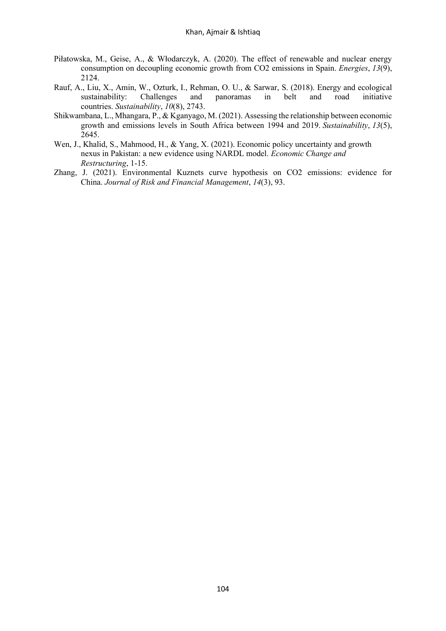- Piłatowska, M., Geise, A., & Włodarczyk, A. (2020). The effect of renewable and nuclear energy consumption on decoupling economic growth from CO2 emissions in Spain. *Energies*, *13*(9), 2124.
- Rauf, A., Liu, X., Amin, W., Ozturk, I., Rehman, O. U., & Sarwar, S. (2018). Energy and ecological sustainability: Challenges and panoramas in belt and road initiative countries. *Sustainability*, *10*(8), 2743.
- Shikwambana, L., Mhangara, P., & Kganyago, M. (2021). Assessing the relationship between economic growth and emissions levels in South Africa between 1994 and 2019. *Sustainability*, *13*(5), 2645.
- Wen, J., Khalid, S., Mahmood, H., & Yang, X. (2021). Economic policy uncertainty and growth nexus in Pakistan: a new evidence using NARDL model. *Economic Change and Restructuring*, 1-15.
- Zhang, J. (2021). Environmental Kuznets curve hypothesis on CO2 emissions: evidence for China. *Journal of Risk and Financial Management*, *14*(3), 93.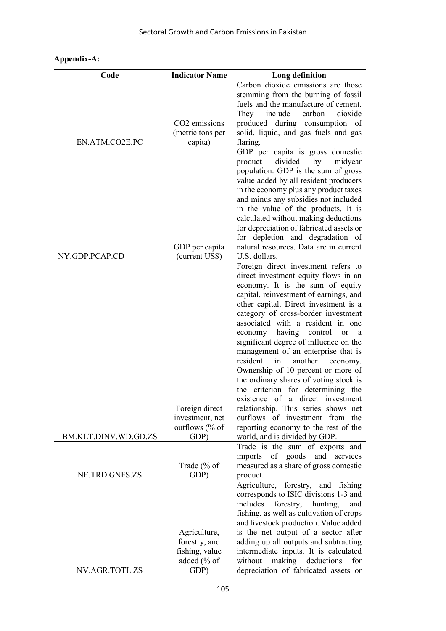| Code                 | <b>Indicator Name</b>                                                  | Long definition                                                                                                                                                                                                                                                                                                                                                                                                                                                                                                                                                                                                                                                                                                             |
|----------------------|------------------------------------------------------------------------|-----------------------------------------------------------------------------------------------------------------------------------------------------------------------------------------------------------------------------------------------------------------------------------------------------------------------------------------------------------------------------------------------------------------------------------------------------------------------------------------------------------------------------------------------------------------------------------------------------------------------------------------------------------------------------------------------------------------------------|
| EN.ATM.CO2E.PC       | CO <sub>2</sub> emissions<br>(metric tons per<br>capita)               | Carbon dioxide emissions are those<br>stemming from the burning of fossil<br>fuels and the manufacture of cement.<br>dioxide<br>They<br>include<br>carbon<br>during consumption of<br>produced<br>solid, liquid, and gas fuels and gas<br>flaring.                                                                                                                                                                                                                                                                                                                                                                                                                                                                          |
|                      | GDP per capita                                                         | GDP per capita is gross domestic<br>divided<br>product<br>by<br>midyear<br>population. GDP is the sum of gross<br>value added by all resident producers<br>in the economy plus any product taxes<br>and minus any subsidies not included<br>in the value of the products. It is<br>calculated without making deductions<br>for depreciation of fabricated assets or<br>for depletion and degradation of<br>natural resources. Data are in current                                                                                                                                                                                                                                                                           |
| NY.GDP.PCAP.CD       | (current US\$)                                                         | U.S. dollars.                                                                                                                                                                                                                                                                                                                                                                                                                                                                                                                                                                                                                                                                                                               |
|                      | Foreign direct<br>investment, net<br>outflows $%$ of                   | Foreign direct investment refers to<br>direct investment equity flows in an<br>economy. It is the sum of equity<br>capital, reinvestment of earnings, and<br>other capital. Direct investment is a<br>category of cross-border investment<br>associated with a resident in one<br>having control<br>economy<br>or<br>a<br>significant degree of influence on the<br>management of an enterprise that is<br>resident<br>another<br>in<br>economy.<br>Ownership of 10 percent or more of<br>the ordinary shares of voting stock is<br>the criterion for determining the<br>existence of a direct investment<br>relationship. This series shows net<br>outflows of investment from the<br>reporting economy to the rest of the |
| BM.KLT.DINV.WD.GD.ZS | GDP)                                                                   | world, and is divided by GDP.<br>Trade is the sum of exports and                                                                                                                                                                                                                                                                                                                                                                                                                                                                                                                                                                                                                                                            |
| NE.TRD.GNFS.ZS       | Trade (% of<br>GDP)                                                    | imports of goods<br>and services<br>measured as a share of gross domestic<br>product.                                                                                                                                                                                                                                                                                                                                                                                                                                                                                                                                                                                                                                       |
| NV.AGR.TOTL.ZS       | Agriculture,<br>forestry, and<br>fishing, value<br>added (% of<br>GDP) | Agriculture, forestry, and fishing<br>corresponds to ISIC divisions 1-3 and<br>includes<br>forestry,<br>hunting,<br>and<br>fishing, as well as cultivation of crops<br>and livestock production. Value added<br>is the net output of a sector after<br>adding up all outputs and subtracting<br>intermediate inputs. It is calculated<br>making deductions<br>without<br>for<br>depreciation of fabricated assets or                                                                                                                                                                                                                                                                                                        |

# **Appendix-A:**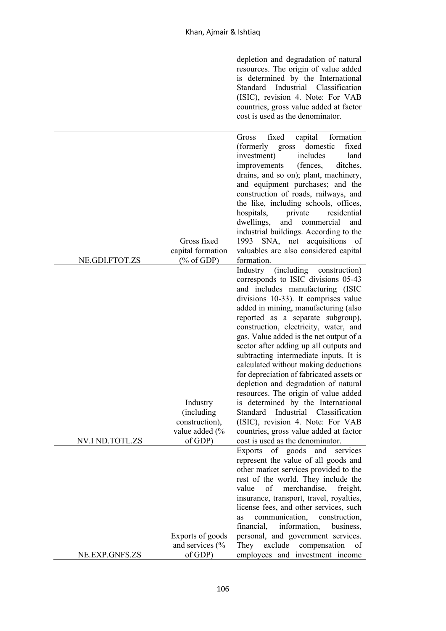|                                                                                                                                            | depletion and degradation of natural<br>resources. The origin of value added<br>is determined by the International<br>Standard Industrial Classification<br>(ISIC), revision 4. Note: For VAB<br>countries, gross value added at factor<br>cost is used as the denominator.                                                                                                                                                                                                                                                                                                                                                                                                                                                                                |
|--------------------------------------------------------------------------------------------------------------------------------------------|------------------------------------------------------------------------------------------------------------------------------------------------------------------------------------------------------------------------------------------------------------------------------------------------------------------------------------------------------------------------------------------------------------------------------------------------------------------------------------------------------------------------------------------------------------------------------------------------------------------------------------------------------------------------------------------------------------------------------------------------------------|
| fixed<br><b>Gross</b><br>(formerly)<br>investment)<br>improvements<br>hospitals,<br>dwellings,<br>Gross fixed<br>1993<br>capital formation | capital<br>formation<br>domestic<br>fixed<br>gross<br>includes<br>land<br>ditches,<br>(fences,<br>drains, and so on); plant, machinery,<br>and equipment purchases; and the<br>construction of roads, railways, and<br>the like, including schools, offices,<br>residential<br>private<br>and commercial<br>and<br>industrial buildings. According to the<br>SNA, net acquisitions of<br>valuables are also considered capital                                                                                                                                                                                                                                                                                                                             |
| NE.GDI.FTOT.ZS<br>$(\% \text{ of GDP})$<br>formation.                                                                                      |                                                                                                                                                                                                                                                                                                                                                                                                                                                                                                                                                                                                                                                                                                                                                            |
| Industry<br>Industry<br>(including<br>Standard<br>construction),<br>value added (%<br>NV.I ND.TOTL.ZS<br>of GDP)                           | (including construction)<br>corresponds to ISIC divisions 05-43<br>and includes manufacturing (ISIC<br>divisions 10-33). It comprises value<br>added in mining, manufacturing (also<br>reported as a separate subgroup),<br>construction, electricity, water, and<br>gas. Value added is the net output of a<br>sector after adding up all outputs and<br>subtracting intermediate inputs. It is<br>calculated without making deductions<br>for depreciation of fabricated assets or<br>depletion and degradation of natural<br>resources. The origin of value added<br>is determined by the International<br>Industrial Classification<br>(ISIC), revision 4. Note: For VAB<br>countries, gross value added at factor<br>cost is used as the denominator. |
| Exports                                                                                                                                    | of goods and<br>services                                                                                                                                                                                                                                                                                                                                                                                                                                                                                                                                                                                                                                                                                                                                   |
| value<br>of<br>communication,<br>as<br>financial,<br>Exports of goods                                                                      | represent the value of all goods and<br>other market services provided to the<br>rest of the world. They include the<br>merchandise,<br>freight,<br>insurance, transport, travel, royalties,<br>license fees, and other services, such<br>construction,<br>information,<br>business,<br>personal, and government services.                                                                                                                                                                                                                                                                                                                                                                                                                                 |
| and services $\frac{6}{6}$<br>They<br>exclude<br>NE.EXP.GNFS.ZS<br>of GDP)                                                                 | compensation<br>of<br>employees and investment income                                                                                                                                                                                                                                                                                                                                                                                                                                                                                                                                                                                                                                                                                                      |